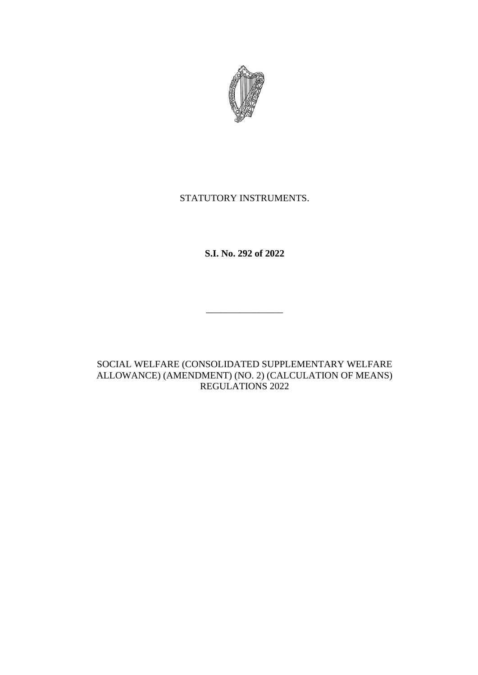

# STATUTORY INSTRUMENTS.

**S.I. No. 292 of 2022**

 $\overline{\phantom{a}}$  . The set of the set of the set of the set of the set of the set of the set of the set of the set of the set of the set of the set of the set of the set of the set of the set of the set of the set of the set o

SOCIAL WELFARE (CONSOLIDATED SUPPLEMENTARY WELFARE ALLOWANCE) (AMENDMENT) (NO. 2) (CALCULATION OF MEANS) REGULATIONS 2022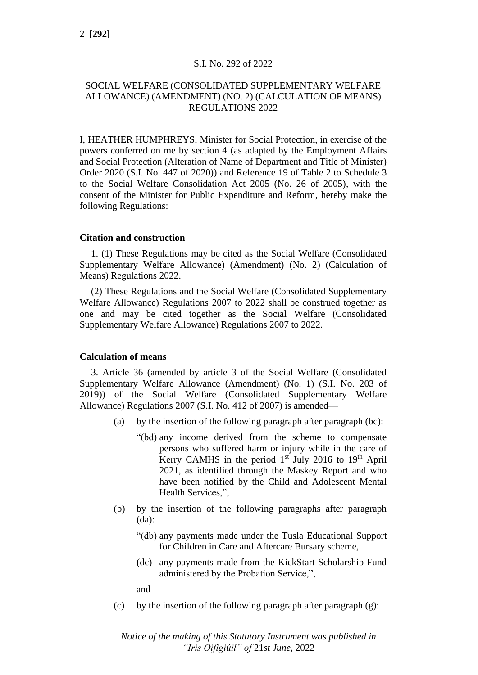## S.I. No. 292 of 2022

# SOCIAL WELFARE (CONSOLIDATED SUPPLEMENTARY WELFARE ALLOWANCE) (AMENDMENT) (NO. 2) (CALCULATION OF MEANS) REGULATIONS 2022

I, HEATHER HUMPHREYS, Minister for Social Protection, in exercise of the powers conferred on me by section 4 (as adapted by the Employment Affairs and Social Protection (Alteration of Name of Department and Title of Minister) Order 2020 (S.I. No. 447 of 2020)) and Reference 19 of Table 2 to Schedule 3 to the Social Welfare Consolidation Act 2005 (No. 26 of 2005), with the consent of the Minister for Public Expenditure and Reform, hereby make the following Regulations:

#### **Citation and construction**

1. (1) These Regulations may be cited as the Social Welfare (Consolidated Supplementary Welfare Allowance) (Amendment) (No. 2) (Calculation of Means) Regulations 2022.

(2) These Regulations and the Social Welfare (Consolidated Supplementary Welfare Allowance) Regulations 2007 to 2022 shall be construed together as one and may be cited together as the Social Welfare (Consolidated Supplementary Welfare Allowance) Regulations 2007 to 2022.

## **Calculation of means**

3. Article 36 (amended by article 3 of the Social Welfare (Consolidated Supplementary Welfare Allowance (Amendment) (No. 1) (S.I. No. 203 of 2019)) of the Social Welfare (Consolidated Supplementary Welfare Allowance) Regulations 2007 (S.I. No. 412 of 2007) is amended—

- (a) by the insertion of the following paragraph after paragraph (bc):
	- "(bd) any income derived from the scheme to compensate persons who suffered harm or injury while in the care of Kerry CAMHS in the period  $1<sup>st</sup>$  July 2016 to  $19<sup>th</sup>$  April 2021, as identified through the Maskey Report and who have been notified by the Child and Adolescent Mental Health Services,",
- (b) by the insertion of the following paragraphs after paragraph (da):
	- "(db) any payments made under the Tusla Educational Support for Children in Care and Aftercare Bursary scheme,
	- (dc) any payments made from the KickStart Scholarship Fund administered by the Probation Service,",

and

(c) by the insertion of the following paragraph after paragraph  $(g)$ :

*Notice of the making of this Statutory Instrument was published in "Iris Oifigiúil" of* 21*st June,* 2022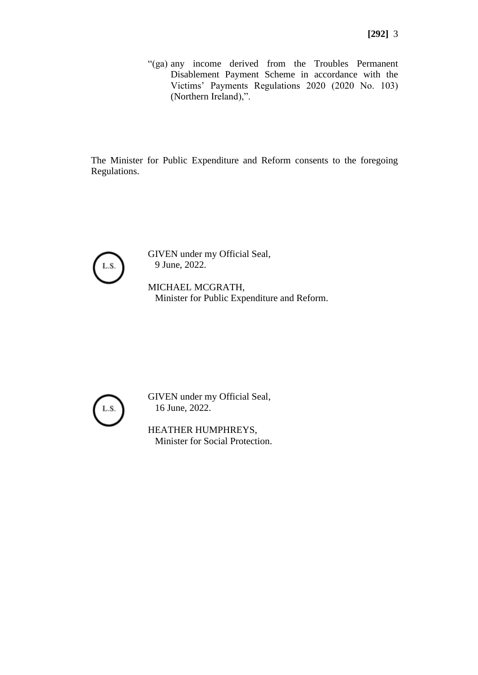"(ga) any income derived from the Troubles Permanent Disablement Payment Scheme in accordance with the Victims' Payments Regulations 2020 (2020 No. 103) (Northern Ireland),".

The Minister for Public Expenditure and Reform consents to the foregoing Regulations.



GIVEN under my Official Seal, 9 June, 2022.

MICHAEL MCGRATH, Minister for Public Expenditure and Reform.



GIVEN under my Official Seal, 16 June, 2022.

HEATHER HUMPHREYS, Minister for Social Protection.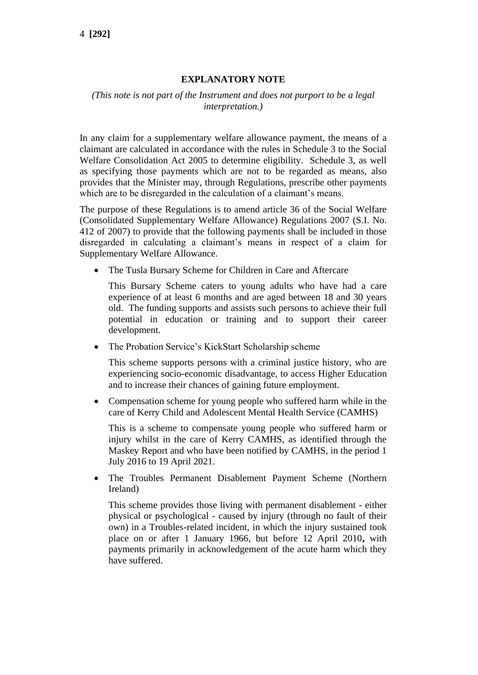# **EXPLANATORY NOTE**

# *(This note is not part of the Instrument and does not purport to be a legal interpretation.)*

In any claim for a supplementary welfare allowance payment, the means of a claimant are calculated in accordance with the rules in Schedule 3 to the Social Welfare Consolidation Act 2005 to determine eligibility. Schedule 3, as well as specifying those payments which are not to be regarded as means, also provides that the Minister may, through Regulations, prescribe other payments which are to be disregarded in the calculation of a claimant's means.

The purpose of these Regulations is to amend article 36 of the Social Welfare (Consolidated Supplementary Welfare Allowance) Regulations 2007 (S.I. No. 412 of 2007) to provide that the following payments shall be included in those disregarded in calculating a claimant's means in respect of a claim for Supplementary Welfare Allowance.

• The Tusla Bursary Scheme for Children in Care and Aftercare

This Bursary Scheme caters to young adults who have had a care experience of at least 6 months and are aged between 18 and 30 years old. The funding supports and assists such persons to achieve their full potential in education or training and to support their career development.

• The Probation Service's KickStart Scholarship scheme

This scheme supports persons with a criminal justice history, who are experiencing socio-economic disadvantage, to access Higher Education and to increase their chances of gaining future employment.

• Compensation scheme for young people who suffered harm while in the care of Kerry Child and Adolescent Mental Health Service (CAMHS)

This is a scheme to compensate young people who suffered harm or injury whilst in the care of Kerry CAMHS, as identified through the Maskey Report and who have been notified by CAMHS, in the period 1 July 2016 to 19 April 2021.

• The Troubles Permanent Disablement Payment Scheme (Northern Ireland)

This scheme provides those living with permanent disablement - either physical or psychological - caused by injury (through no fault of their own) in a Troubles-related incident, in which the injury sustained took place on or after 1 January 1966, but before 12 April 2010**,** with payments primarily in acknowledgement of the acute harm which they have suffered.